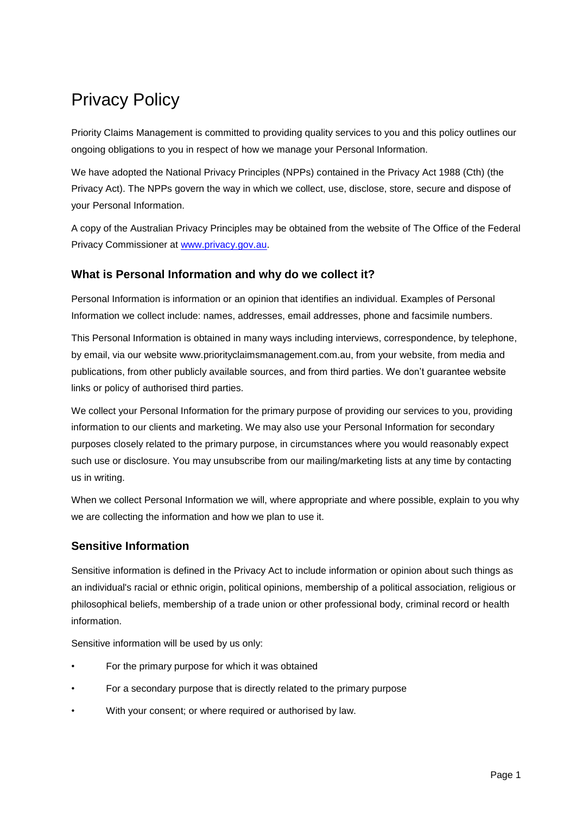# Privacy Policy

Priority Claims Management is committed to providing quality services to you and this policy outlines our ongoing obligations to you in respect of how we manage your Personal Information.

We have adopted the National Privacy Principles (NPPs) contained in the Privacy Act 1988 (Cth) (the Privacy Act). The NPPs govern the way in which we collect, use, disclose, store, secure and dispose of your Personal Information.

A copy of the Australian Privacy Principles may be obtained from the website of The Office of the Federal Privacy Commissioner at [www.privacy.gov.au.](http://www.privacy.gov.au/)

# **What is Personal Information and why do we collect it?**

Personal Information is information or an opinion that identifies an individual. Examples of Personal Information we collect include: names, addresses, email addresses, phone and facsimile numbers.

This Personal Information is obtained in many ways including interviews, correspondence, by telephone, by email, via our website www.priorityclaimsmanagement.com.au, from your website, from media and publications, from other publicly available sources, and from third parties. We don't guarantee website links or policy of authorised third parties.

We collect your Personal Information for the primary purpose of providing our services to you, providing information to our clients and marketing. We may also use your Personal Information for secondary purposes closely related to the primary purpose, in circumstances where you would reasonably expect such use or disclosure. You may unsubscribe from our mailing/marketing lists at any time by contacting us in writing.

When we collect Personal Information we will, where appropriate and where possible, explain to you why we are collecting the information and how we plan to use it.

# **Sensitive Information**

Sensitive information is defined in the Privacy Act to include information or opinion about such things as an individual's racial or ethnic origin, political opinions, membership of a political association, religious or philosophical beliefs, membership of a trade union or other professional body, criminal record or health information.

Sensitive information will be used by us only:

- For the primary purpose for which it was obtained
- For a secondary purpose that is directly related to the primary purpose
- With your consent; or where required or authorised by law.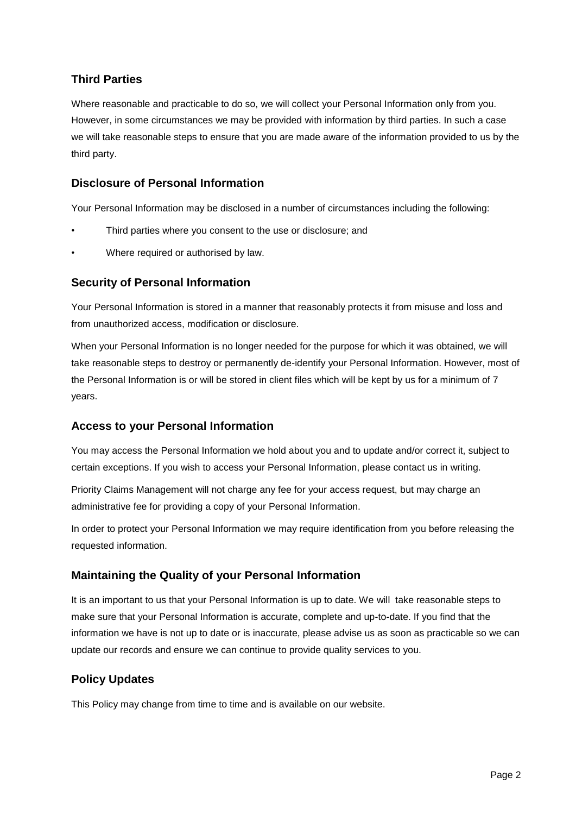# **Third Parties**

Where reasonable and practicable to do so, we will collect your Personal Information only from you. However, in some circumstances we may be provided with information by third parties. In such a case we will take reasonable steps to ensure that you are made aware of the information provided to us by the third party.

#### **Disclosure of Personal Information**

Your Personal Information may be disclosed in a number of circumstances including the following:

- Third parties where you consent to the use or disclosure; and
- Where required or authorised by law.

#### **Security of Personal Information**

Your Personal Information is stored in a manner that reasonably protects it from misuse and loss and from unauthorized access, modification or disclosure.

When your Personal Information is no longer needed for the purpose for which it was obtained, we will take reasonable steps to destroy or permanently de-identify your Personal Information. However, most of the Personal Information is or will be stored in client files which will be kept by us for a minimum of 7 years.

#### **Access to your Personal Information**

You may access the Personal Information we hold about you and to update and/or correct it, subject to certain exceptions. If you wish to access your Personal Information, please contact us in writing.

Priority Claims Management will not charge any fee for your access request, but may charge an administrative fee for providing a copy of your Personal Information.

In order to protect your Personal Information we may require identification from you before releasing the requested information.

#### **Maintaining the Quality of your Personal Information**

It is an important to us that your Personal Information is up to date. We will take reasonable steps to make sure that your Personal Information is accurate, complete and up-to-date. If you find that the information we have is not up to date or is inaccurate, please advise us as soon as practicable so we can update our records and ensure we can continue to provide quality services to you.

# **Policy Updates**

This Policy may change from time to time and is available on our website.